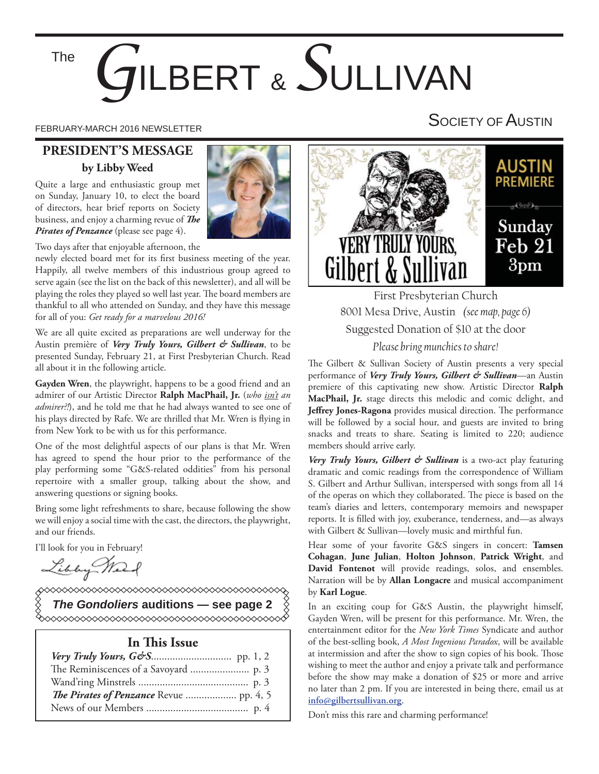# *G*ILBERT & *S*ULLIVAN The

# **PRESIDENT'S MESSAGE by Libby Weed**

Quite a large and enthusiastic group met on Sunday, January 10, to elect the board of directors, hear brief reports on Society business, and enjoy a charming revue of **The** *Pirates of Penzance* (please see page 4).



Two days after that enjoyable afternoon, the

newly elected board met for its first business meeting of the year. Happily, all twelve members of this industrious group agreed to serve again (see the list on the back of this newsletter), and all will be playing the roles they played so well last year. The board members are thankful to all who attended on Sunday, and they have this message for all of you: *Get ready for a marvelous 2016!*

We are all quite excited as preparations are well underway for the Austin première of *Very Truly Yours, Gilbert & Sullivan*, to be presented Sunday, February 21, at First Presbyterian Church. Read all about it in the following article.

**Gayden Wren**, the playwright, happens to be a good friend and an admirer of our Artistic Director **Ralph MacPhail, Jr.** (*who isn't an admirer?!*), and he told me that he had always wanted to see one of his plays directed by Rafe. We are thrilled that Mr. Wren is flying in from New York to be with us for this performance.

One of the most delightful aspects of our plans is that Mr. Wren has agreed to spend the hour prior to the performance of the play performing some "G&S-related oddities" from his personal repertoire with a smaller group, talking about the show, and answering questions or signing books.

Bring some light refreshments to share, because following the show we will enjoy a social time with the cast, the directors, the playwright, and our friends.

I'll look for you in February!

Libby Mar

◇◇◇◇◇◇◇◇◇◇◇◇◇◇◇◇◇◇◇◇◇◇◇◇◇◇◇◇◇◇◇ *The Gondoliers* **auditions — see page 2**

#### **In This Issue**

FEBRUARY-MARCH 2016 NEWSLETTER FEBRUARY-MARCH 2016 NEWSLETTER



First Presbyterian Church 8001 Mesa Drive, Austin *(see map, page 6)* Suggested Donation of \$10 at the door *Please bring munchies to share!*

The Gilbert & Sullivan Society of Austin presents a very special performance of *Very Truly Yours, Gilbert & Sullivan*—an Austin premiere of this captivating new show. Artistic Director **Ralph MacPhail, Jr.** stage directs this melodic and comic delight, and **Jeffrey Jones-Ragona** provides musical direction. The performance will be followed by a social hour, and guests are invited to bring snacks and treats to share. Seating is limited to 220; audience members should arrive early.

*Very Truly Yours, Gilbert & Sullivan* is a two-act play featuring dramatic and comic readings from the correspondence of William S. Gilbert and Arthur Sullivan, interspersed with songs from all 14 of the operas on which they collaborated. The piece is based on the team's diaries and letters, contemporary memoirs and newspaper reports. It is filled with joy, exuberance, tenderness, and—as always with Gilbert & Sullivan—lovely music and mirthful fun.

Hear some of your favorite G&S singers in concert: **Tamsen Cohagan**, **June Julian**, **Holton Johnson**, **Patrick Wright**, and **David Fontenot** will provide readings, solos, and ensembles. Narration will be by **Allan Longacre** and musical accompaniment by **Karl Logue**.

In an exciting coup for G&S Austin, the playwright himself, Gayden Wren, will be present for this performance. Mr. Wren, the entertainment editor for the *New York Times* Syndicate and author of the best-selling book, *A Most Ingenious Paradox*, will be available at intermission and after the show to sign copies of his book. Those wishing to meet the author and enjoy a private talk and performance before the show may make a donation of \$25 or more and arrive no later than 2 pm. If you are interested in being there, email us at **info@gilbertsullivan.org**.

Don't miss this rare and charming performance!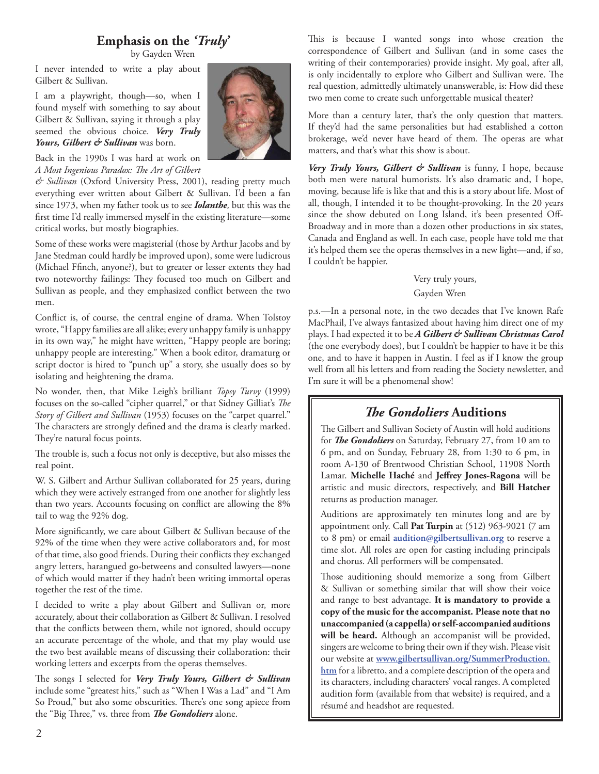#### **Emphasis on the** *'Truly'*

by Gayden Wren

I never intended to write a play about Gilbert & Sullivan.

I am a playwright, though—so, when I found myself with something to say about Gilbert & Sullivan, saying it through a play seemed the obvious choice. *Very Truly Yours, Gilbert & Sullivan* was born.

Back in the 1990s I was hard at work on A Most Ingenious Paradox: The Art of Gilbert

*& Sullivan* (Oxford University Press, 2001), reading pretty much everything ever written about Gilbert & Sullivan. I'd been a fan since 1973, when my father took us to see *Iolanthe,* but this was the first time I'd really immersed myself in the existing literature—some critical works, but mostly biographies.

Some of these works were magisterial (those by Arthur Jacobs and by Jane Stedman could hardly be improved upon), some were ludicrous (Michael Ffinch, anyone?), but to greater or lesser extents they had two noteworthy failings: They focused too much on Gilbert and Sullivan as people, and they emphasized conflict between the two men.

Conflict is, of course, the central engine of drama. When Tolstoy wrote, "Happy families are all alike; every unhappy family is unhappy in its own way," he might have written, "Happy people are boring; unhappy people are interesting." When a book editor, dramaturg or script doctor is hired to "punch up" a story, she usually does so by isolating and heightening the drama.

No wonder, then, that Mike Leigh's brilliant *Topsy Turvy* (1999) focuses on the so-called "cipher quarrel," or that Sidney Gilliat's The *Story of Gilbert and Sullivan* (1953) focuses on the "carpet quarrel." The characters are strongly defined and the drama is clearly marked. They're natural focus points.

The trouble is, such a focus not only is deceptive, but also misses the real point.

W. S. Gilbert and Arthur Sullivan collaborated for 25 years, during which they were actively estranged from one another for slightly less than two years. Accounts focusing on conflict are allowing the 8% tail to wag the 92% dog.

More significantly, we care about Gilbert & Sullivan because of the 92% of the time when they were active collaborators and, for most of that time, also good friends. During their conflicts they exchanged angry letters, harangued go-betweens and consulted lawyers—none of which would matter if they hadn't been writing immortal operas together the rest of the time.

I decided to write a play about Gilbert and Sullivan or, more accurately, about their collaboration as Gilbert & Sullivan. I resolved that the conflicts between them, while not ignored, should occupy an accurate percentage of the whole, and that my play would use the two best available means of discussing their collaboration: their working letters and excerpts from the operas themselves.

The songs I selected for *Very Truly Yours, Gilbert & Sullivan* include some "greatest hits," such as "When I Was a Lad" and "I Am So Proud," but also some obscurities. There's one song apiece from the "Big Three," vs. three from *The Gondoliers* alone.

This is because I wanted songs into whose creation the correspondence of Gilbert and Sullivan (and in some cases the writing of their contemporaries) provide insight. My goal, after all, is only incidentally to explore who Gilbert and Sullivan were. The real question, admittedly ultimately unanswerable, is: How did these two men come to create such unforgettable musical theater?

More than a century later, that's the only question that matters. If they'd had the same personalities but had established a cotton brokerage, we'd never have heard of them. The operas are what matters, and that's what this show is about.

*Very Truly Yours, Gilbert & Sullivan* is funny, I hope, because both men were natural humorists. It's also dramatic and, I hope, moving, because life is like that and this is a story about life. Most of all, though, I intended it to be thought-provoking. In the 20 years since the show debuted on Long Island, it's been presented Off-Broadway and in more than a dozen other productions in six states, Canada and England as well. In each case, people have told me that it's helped them see the operas themselves in a new light—and, if so, I couldn't be happier.

Very truly yours,

#### Gayden Wren

p.s.—In a personal note, in the two decades that I've known Rafe MacPhail, I've always fantasized about having him direct one of my plays. I had expected it to be *A Gilbert & Sullivan Christmas Carol* (the one everybody does), but I couldn't be happier to have it be this one, and to have it happen in Austin. I feel as if I know the group well from all his letters and from reading the Society newsletter, and I'm sure it will be a phenomenal show!

## *The Gondoliers* Auditions

The Gilbert and Sullivan Society of Austin will hold auditions for *The Gondoliers* on Saturday, February 27, from 10 am to 6 pm, and on Sunday, February 28, from 1:30 to 6 pm, in room A-130 of Brentwood Christian School, 11908 North Lamar. Michelle Haché and Jeffrey Jones-Ragona will be artistic and music directors, respectively, and **Bill Hatcher** returns as production manager.

Auditions are approximately ten minutes long and are by appointment only. Call **Pat Turpin** at (512) 963-9021 (7 am to 8 pm) or email **audition@gilbertsullivan.org** to reserve a time slot. All roles are open for casting including principals and chorus. All performers will be compensated.

Those auditioning should memorize a song from Gilbert & Sullivan or something similar that will show their voice and range to best advantage. **It is mandatory to provide a copy of the music for the accompanist. Please note that no unaccompanied (a cappella) or self-accompanied auditions will be heard.** Although an accompanist will be provided, singers are welcome to bring their own if they wish. Please visit our website at **www.gilbertsullivan.org/SummerProduction. htm** for a libretto, and a complete description of the opera and its characters, including characters' vocal ranges. A completed audition form (available from that website) is required, and a résumé and headshot are requested.

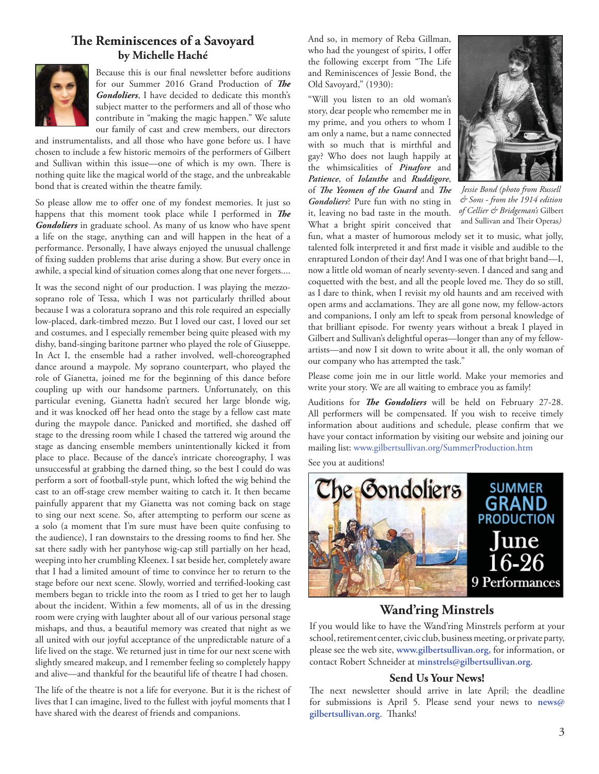#### **The Reminiscences of a Savoyard by Michelle Haché**



Because this is our final newsletter before auditions for our Summer 2016 Grand Production of *The Gondoliers*, I have decided to dedicate this month's subject matter to the performers and all of those who contribute in "making the magic happen." We salute our family of cast and crew members, our directors

and instrumentalists, and all those who have gone before us. I have chosen to include a few historic memoirs of the performers of Gilbert and Sullivan within this issue—one of which is my own. There is nothing quite like the magical world of the stage, and the unbreakable bond that is created within the theatre family.

So please allow me to offer one of my fondest memories. It just so happens that this moment took place while I performed in The *Gondoliers* in graduate school. As many of us know who have spent a life on the stage, anything can and will happen in the heat of a performance. Personally, I have always enjoyed the unusual challenge of fixing sudden problems that arise during a show. But every once in awhile, a special kind of situation comes along that one never forgets....

It was the second night of our production. I was playing the mezzosoprano role of Tessa, which I was not particularly thrilled about because I was a coloratura soprano and this role required an especially low-placed, dark-timbred mezzo. But I loved our cast, I loved our set and costumes, and I especially remember being quite pleased with my dishy, band-singing baritone partner who played the role of Giuseppe. In Act I, the ensemble had a rather involved, well-choreographed dance around a maypole. My soprano counterpart, who played the role of Gianetta, joined me for the beginning of this dance before coupling up with our handsome partners. Unfortunately, on this particular evening, Gianetta hadn't secured her large blonde wig, and it was knocked off her head onto the stage by a fellow cast mate during the maypole dance. Panicked and mortified, she dashed off stage to the dressing room while I chased the tattered wig around the stage as dancing ensemble members unintentionally kicked it from place to place. Because of the dance's intricate choreography, I was unsuccessful at grabbing the darned thing, so the best I could do was perform a sort of football-style punt, which lofted the wig behind the cast to an off-stage crew member waiting to catch it. It then became painfully apparent that my Gianetta was not coming back on stage to sing our next scene. So, after attempting to perform our scene as a solo (a moment that I'm sure must have been quite confusing to the audience), I ran downstairs to the dressing rooms to find her. She sat there sadly with her pantyhose wig-cap still partially on her head, weeping into her crumbling Kleenex. I sat beside her, completely aware that I had a limited amount of time to convince her to return to the stage before our next scene. Slowly, worried and terrified-looking cast members began to trickle into the room as I tried to get her to laugh about the incident. Within a few moments, all of us in the dressing room were crying with laughter about all of our various personal stage mishaps, and thus, a beautiful memory was created that night as we all united with our joyful acceptance of the unpredictable nature of a life lived on the stage. We returned just in time for our next scene with slightly smeared makeup, and I remember feeling so completely happy and alive—and thankful for the beautiful life of theatre I had chosen.

The life of the theatre is not a life for everyone. But it is the richest of lives that I can imagine, lived to the fullest with joyful moments that I have shared with the dearest of friends and companions.

And so, in memory of Reba Gillman, who had the youngest of spirits, I offer the following excerpt from "The Life and Reminiscences of Jessie Bond, the Old Savoyard," (1930):

"Will you listen to an old woman's story, dear people who remember me in my prime, and you others to whom I am only a name, but a name connected with so much that is mirthful and gay? Who does not laugh happily at the whimsicalities of *Pinafore* and *Patience*, of *Iolanthe* and *Ruddigore*, of *The Yeomen of the Guard* and *The Gondoliers*? Pure fun with no sting in it, leaving no bad taste in the mouth. What a bright spirit conceived that



*Jessie Bond (photo from Russell & Sons - from the 1914 edition of Cellier & Bridgeman's* Gilbert and Sullivan and Their Operas)

fun, what a master of humorous melody set it to music, what jolly, talented folk interpreted it and first made it visible and audible to the enraptured London of their day! And I was one of that bright band—I, now a little old woman of nearly seventy-seven. I danced and sang and coquetted with the best, and all the people loved me. They do so still, as I dare to think, when I revisit my old haunts and am received with open arms and acclamations. They are all gone now, my fellow-actors and companions, I only am left to speak from personal knowledge of that brilliant episode. For twenty years without a break I played in Gilbert and Sullivan's delightful operas—longer than any of my fellowartists—and now I sit down to write about it all, the only woman of our company who has attempted the task."

Please come join me in our little world. Make your memories and write your story. We are all waiting to embrace you as family!

Auditions for *The Gondoliers* will be held on February 27-28. All performers will be compensated. If you wish to receive timely information about auditions and schedule, please confirm that we have your contact information by visiting our website and joining our mailing list: www.gilbertsullivan.org/SummerProduction.htm

See you at auditions!



# **Wand'ring Minstrels**

If you would like to have the Wand'ring Minstrels perform at your school, retirement center, civic club, business meeting, or private party, please see the web site, **www.gilbertsullivan.org,** for information, or contact Robert Schneider at **minstrels@gilbertsullivan.org**.

#### **Send Us Your News!**

The next newsletter should arrive in late April; the deadline for submissions is April 5. Please send your news to **news@** gilbertsullivan.org. Thanks!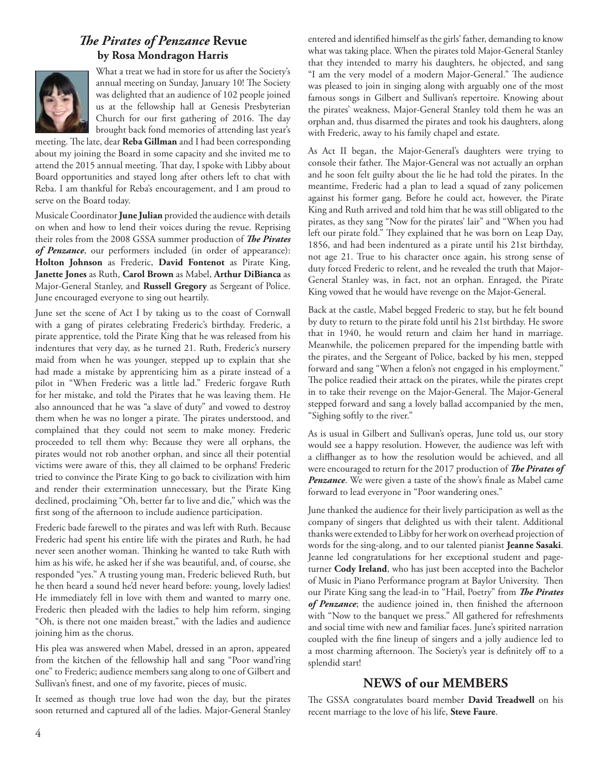# **The Pirates of Penzance Revue by Rosa Mondragon Harris**



What a treat we had in store for us after the Society's annual meeting on Sunday, January 10! The Society was delighted that an audience of 102 people joined us at the fellowship hall at Genesis Presbyterian Church for our first gathering of 2016. The day brought back fond memories of attending last year's

meeting. The late, dear Reba Gillman and I had been corresponding about my joining the Board in some capacity and she invited me to attend the 2015 annual meeting. That day, I spoke with Libby about Board opportunities and stayed long after others left to chat with Reba. I am thankful for Reba's encouragement, and I am proud to serve on the Board today.

Musicale Coordinator **June Julian** provided the audience with details on when and how to lend their voices during the revue. Reprising their roles from the 2008 GSSA summer production of *The Pirates of Penzance*, our performers included (in order of appearance): **Holton Johnson** as Frederic, **David Fontenot** as Pirate King, **Janette Jones** as Ruth, **Carol Brown** as Mabel, **Arthur DiBianca** as Major-General Stanley, and **Russell Gregory** as Sergeant of Police. June encouraged everyone to sing out heartily.

June set the scene of Act I by taking us to the coast of Cornwall with a gang of pirates celebrating Frederic's birthday. Frederic, a pirate apprentice, told the Pirate King that he was released from his indentures that very day, as he turned 21. Ruth, Frederic's nursery maid from when he was younger, stepped up to explain that she had made a mistake by apprenticing him as a pirate instead of a pilot in "When Frederic was a little lad." Frederic forgave Ruth for her mistake, and told the Pirates that he was leaving them. He also announced that he was "a slave of duty" and vowed to destroy them when he was no longer a pirate. The pirates understood, and complained that they could not seem to make money. Frederic proceeded to tell them why: Because they were all orphans, the pirates would not rob another orphan, and since all their potential victims were aware of this, they all claimed to be orphans! Frederic tried to convince the Pirate King to go back to civilization with him and render their extermination unnecessary, but the Pirate King declined, proclaiming "Oh, better far to live and die," which was the first song of the afternoon to include audience participation.

Frederic bade farewell to the pirates and was left with Ruth. Because Frederic had spent his entire life with the pirates and Ruth, he had never seen another woman. Thinking he wanted to take Ruth with him as his wife, he asked her if she was beautiful, and, of course, she responded "yes." A trusting young man, Frederic believed Ruth, but he then heard a sound he'd never heard before: young, lovely ladies! He immediately fell in love with them and wanted to marry one. Frederic then pleaded with the ladies to help him reform, singing "Oh, is there not one maiden breast," with the ladies and audience joining him as the chorus.

His plea was answered when Mabel, dressed in an apron, appeared from the kitchen of the fellowship hall and sang "Poor wand'ring one" to Frederic; audience members sang along to one of Gilbert and Sullivan's finest, and one of my favorite, pieces of music.

It seemed as though true love had won the day, but the pirates soon returned and captured all of the ladies. Major-General Stanley

entered and identified himself as the girls' father, demanding to know what was taking place. When the pirates told Major-General Stanley that they intended to marry his daughters, he objected, and sang "I am the very model of a modern Major-General." The audience was pleased to join in singing along with arguably one of the most famous songs in Gilbert and Sullivan's repertoire. Knowing about the pirates' weakness, Major-General Stanley told them he was an orphan and, thus disarmed the pirates and took his daughters, along with Frederic, away to his family chapel and estate.

As Act II began, the Major-General's daughters were trying to console their father. The Major-General was not actually an orphan and he soon felt guilty about the lie he had told the pirates. In the meantime, Frederic had a plan to lead a squad of zany policemen against his former gang. Before he could act, however, the Pirate King and Ruth arrived and told him that he was still obligated to the pirates, as they sang "Now for the pirates' lair" and "When you had left our pirate fold." They explained that he was born on Leap Day, 1856, and had been indentured as a pirate until his 21st birthday, not age 21. True to his character once again, his strong sense of duty forced Frederic to relent, and he revealed the truth that Major-General Stanley was, in fact, not an orphan. Enraged, the Pirate King vowed that he would have revenge on the Major-General.

Back at the castle, Mabel begged Frederic to stay, but he felt bound by duty to return to the pirate fold until his 21st birthday. He swore that in 1940, he would return and claim her hand in marriage. Meanwhile, the policemen prepared for the impending battle with the pirates, and the Sergeant of Police, backed by his men, stepped forward and sang "When a felon's not engaged in his employment." The police readied their attack on the pirates, while the pirates crept in to take their revenge on the Major-General. The Major-General stepped forward and sang a lovely ballad accompanied by the men, "Sighing softly to the river."

As is usual in Gilbert and Sullivan's operas, June told us, our story would see a happy resolution. However, the audience was left with a cliffhanger as to how the resolution would be achieved, and all were encouraged to return for the 2017 production of *The Pirates of* **Penzance**. We were given a taste of the show's finale as Mabel came forward to lead everyone in "Poor wandering ones."

June thanked the audience for their lively participation as well as the company of singers that delighted us with their talent. Additional thanks were extended to Libby for her work on overhead projection of words for the sing-along, and to our talented pianist **Jeanne Sasaki**. Jeanne led congratulations for her exceptional student and pageturner **Cody Ireland**, who has just been accepted into the Bachelor of Music in Piano Performance program at Baylor University. Then our Pirate King sang the lead-in to "Hail, Poetry" from *The Pirates* of Penzance; the audience joined in, then finished the afternoon with "Now to the banquet we press." All gathered for refreshments and social time with new and familiar faces. June's spirited narration coupled with the fine lineup of singers and a jolly audience led to a most charming afternoon. The Society's year is definitely off to a splendid start!

## **NEWS of our MEMBERS**

The GSSA congratulates board member David Treadwell on his recent marriage to the love of his life, **Steve Faure**.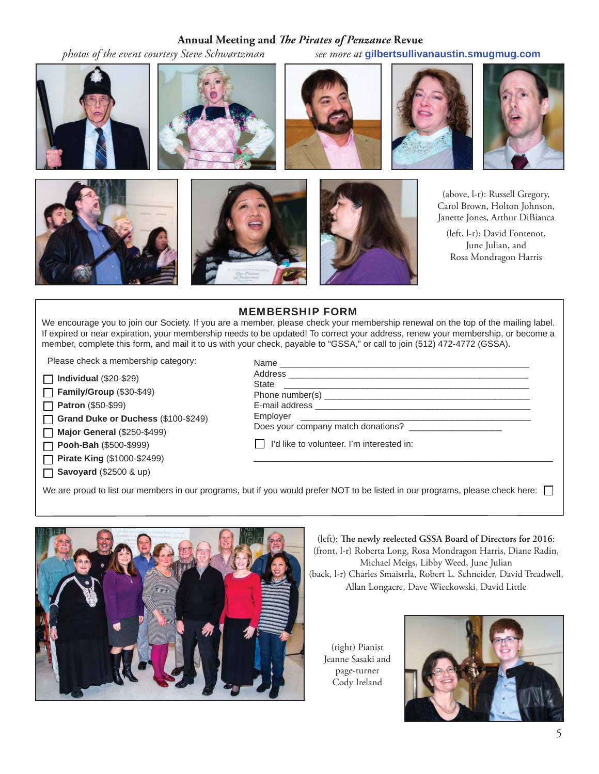#### Annual Meeting and *The Pirates of Penzance* Revue

 *photos of the event courtesy Steve Schwartzman see more at* **gilbertsullivanaustin.smugmug.com**



#### MEMBERSHIP FORM

We encourage you to join our Society. If you are a member, please check your membership renewal on the top of the mailing label. If expired or near expiration, your membership needs to be updated! To correct your address, renew your membership, or become a member, complete this form, and mail it to us with your check, payable to "GSSA," or call to join (512) 472-4772 (GSSA).

Please check a membership category:

**Individual** (\$20-\$29)

**Family/Group** (\$30-\$49) П

**Patron** (\$50-\$99) П

**Grand Duke or Duchess** (\$100-\$249)  $\Box$ 

**Major General** (\$250-\$499)  $\Box$ 

**Pooh-Bah** (\$500-\$999) П

**Pirate King** (\$1000-\$2499) П

**Savoyard** (\$2500 & up)  $\Box$ 

| Does your company match donations? ______________________ |  |
|-----------------------------------------------------------|--|
| I'd like to volunteer. I'm interested in:                 |  |

We are proud to list our members in our programs, but if you would prefer NOT to be listed in our programs, please check here:  $\Box$ 



(left): The newly reelected GSSA Board of Directors for 2016: (front, l-r) Roberta Long, Rosa Mondragon Harris, Diane Radin, Michael Meigs, Libby Weed, June Julian (back, l-r) Charles Smaistrla, Robert L. Schneider, David Treadwell,

Allan Longacre, Dave Wieckowski, David Little

(right) Pianist Jeanne Sasaki and page-turner Cody Ireland